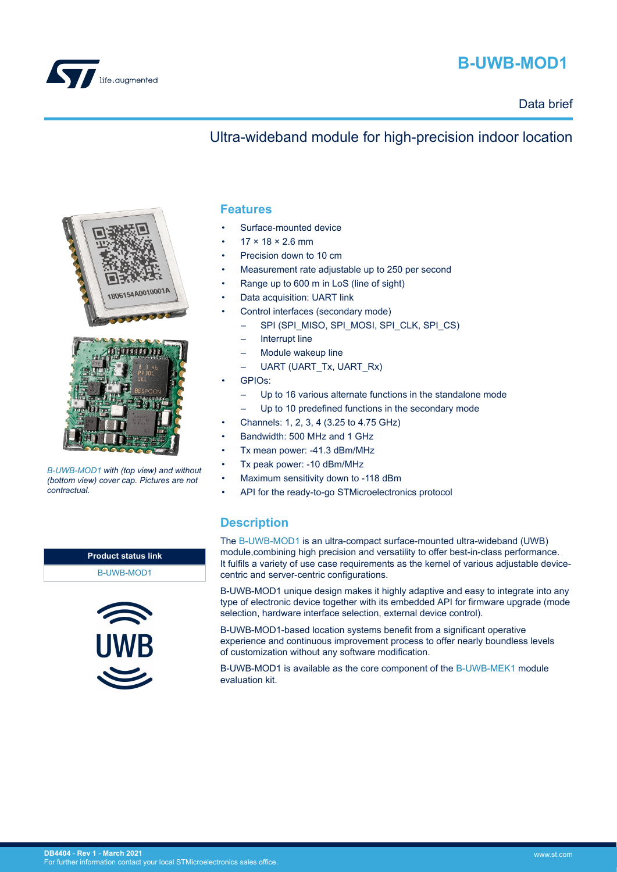

# **B-UWB-MOD1**

### Data brief

# Ultra-wideband module for high-precision indoor location





*[B-UWB-MOD1](https://www.st.com/en/product/b-uwb-mod1?ecmp=tt9470_gl_link_feb2019&rt=db&id=DB4404) with (top view) and without (bottom view) cover cap. Pictures are not contractual.*





#### **Features**

- Surface-mounted device
- $17 \times 18 \times 2.6$  mm
- Precision down to 10 cm
- Measurement rate adjustable up to 250 per second
- Range up to 600 m in LoS (line of sight)
- Data acquisition: UART link
- Control interfaces (secondary mode)
	- SPI (SPI\_MISO, SPI\_MOSI, SPI\_CLK, SPI\_CS)
	- Interrupt line
	- Module wakeup line
	- UART (UART\_Tx, UART\_Rx)
- GPIOs:
	- Up to 16 various alternate functions in the standalone mode
	- Up to 10 predefined functions in the secondary mode
- Channels: 1, 2, 3, 4 (3.25 to 4.75 GHz)
- Bandwidth: 500 MHz and 1 GHz
- Tx mean power: -41.3 dBm/MHz
- Tx peak power: -10 dBm/MHz
- Maximum sensitivity down to -118 dBm
- API for the ready-to-go STMicroelectronics protocol

### **Description**

The [B-UWB-MOD1](https://www.st.com/en/product/b-uwb-mod1?ecmp=tt9470_gl_link_feb2019&rt=db&id=DB4404) is an ultra-compact surface-mounted ultra-wideband (UWB) module,combining high precision and versatility to offer best-in-class performance. It fulfils a variety of use case requirements as the kernel of various adjustable devicecentric and server-centric configurations.

B-UWB-MOD1 unique design makes it highly adaptive and easy to integrate into any type of electronic device together with its embedded API for firmware upgrade (mode selection, hardware interface selection, external device control).

B-UWB-MOD1-based location systems benefit from a significant operative experience and continuous improvement process to offer nearly boundless levels of customization without any software modification.

B-UWB-MOD1 is available as the core component of the [B-UWB-MEK1](https://www.st.com/en/product/b-uwb-mek1?ecmp=tt9470_gl_link_feb2019&rt=db&id=DB4404) module evaluation kit.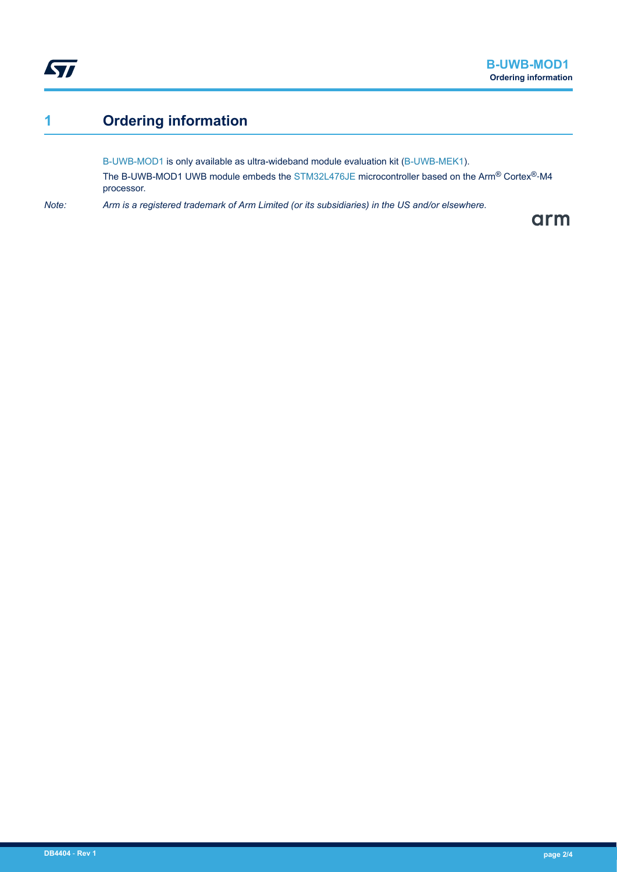# **1 Ordering information**

[B-UWB-MOD1](https://www.st.com/en/product/b-uwb-mod1?ecmp=tt9470_gl_link_feb2019&rt=db&id=DB4404) is only available as ultra-wideband module evaluation kit [\(B-UWB-MEK1\)](https://www.st.com/en/product/b-uwb-mek1?ecmp=tt9470_gl_link_feb2019&rt=db&id=DB4404). The B-UWB-MOD1 UWB module embeds the [STM32L476JE](https://www.st.com/en/product/stm32l476je?ecmp=tt9470_gl_link_feb2019&rt=db&id=DB4404) microcontroller based on the Arm® Cortex®-M4 processor.

*Note: Arm is a registered trademark of Arm Limited (or its subsidiaries) in the US and/or elsewhere.*

arm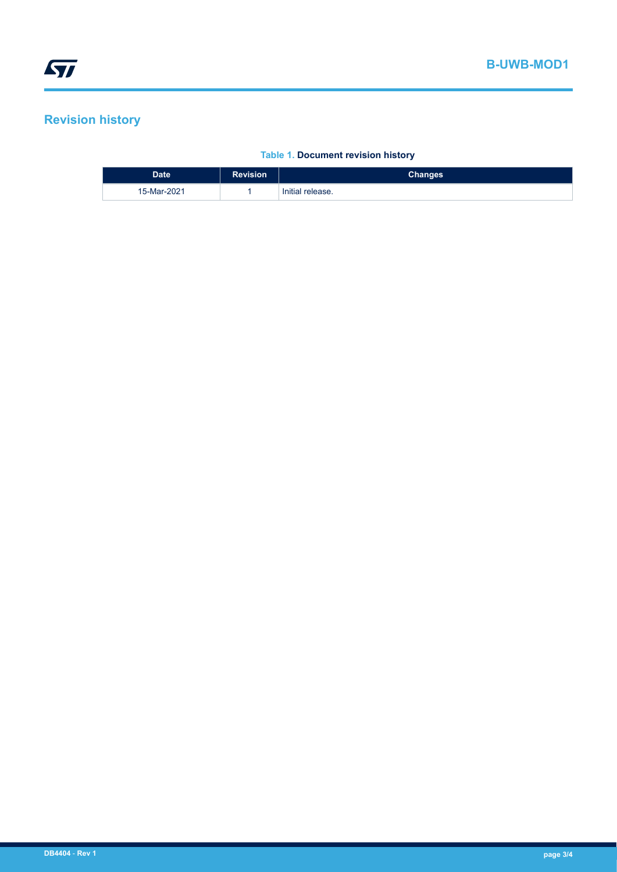# **Revision history**

### **Table 1. Document revision history**

| <b>Date</b> | <b>Revision</b> | <b>Changes</b>   |
|-------------|-----------------|------------------|
| 15-Mar-2021 |                 | Initial release. |